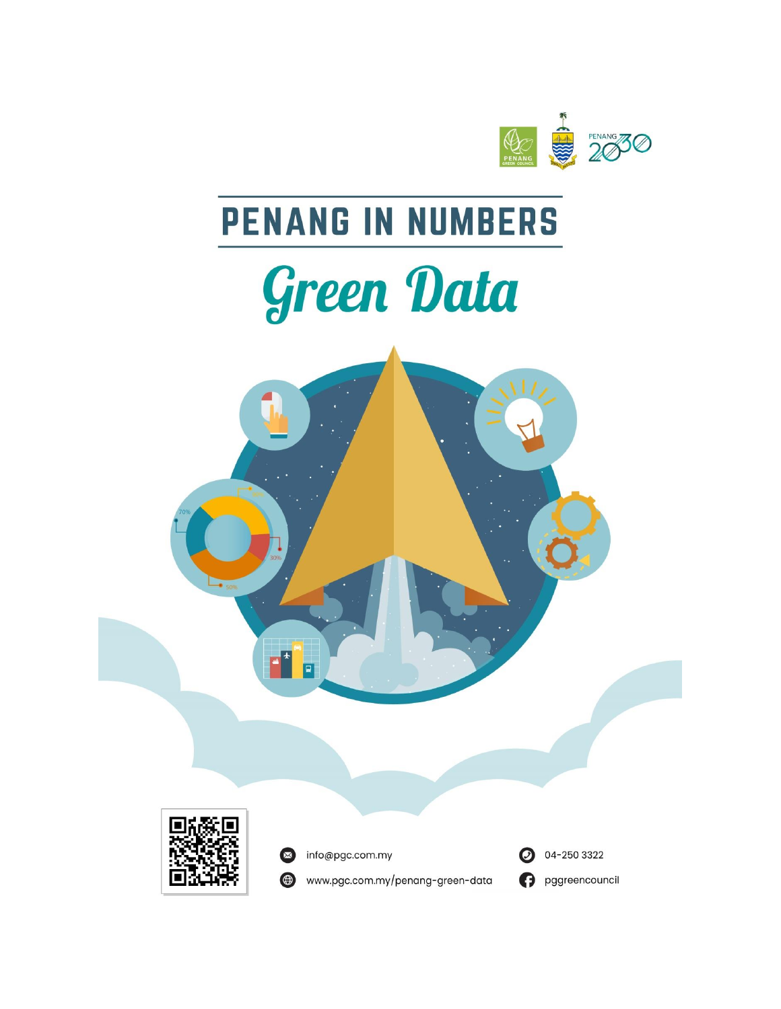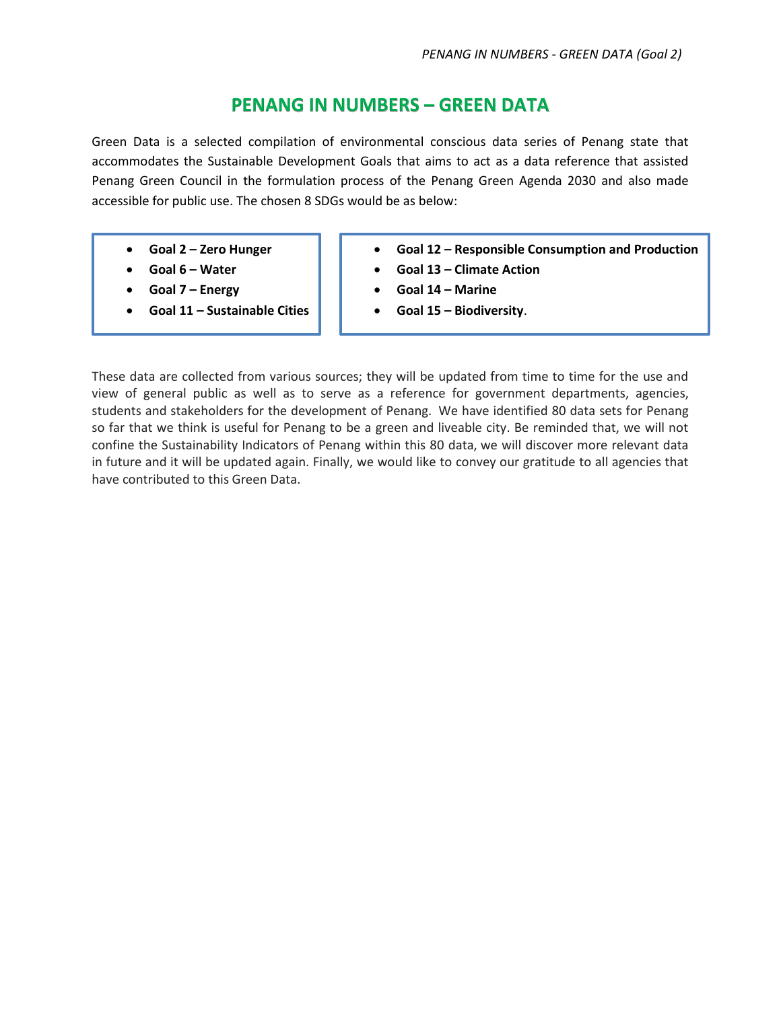## **PENANG IN NUMBERS – GREEN DATA**

Green Data is a selected compilation of environmental conscious data series of Penang state that accommodates the Sustainable Development Goals that aims to act as a data reference that assisted Penang Green Council in the formulation process of the Penang Green Agenda 2030 and also made accessible for public use. The chosen 8 SDGs would be as below:

- **Goal 2 – Zero Hunger**
- **Goal 6 – Water**
- **Goal 7 – Energy**
- **Goal 11 – Sustainable Cities**
- **Goal 12 – Responsible Consumption and Production**
- **Goal 13 – Climate Action**
- **Goal 14 – Marine**
- **Goal 15 – Biodiversity**.

These data are collected from various sources; they will be updated from time to time for the use and view of general public as well as to serve as a reference for government departments, agencies, students and stakeholders for the development of Penang. We have identified 80 data sets for Penang so far that we think is useful for Penang to be a green and liveable city. Be reminded that, we will not confine the Sustainability Indicators of Penang within this 80 data, we will discover more relevant data in future and it will be updated again. Finally, we would like to convey our gratitude to all agencies that have contributed to this Green Data.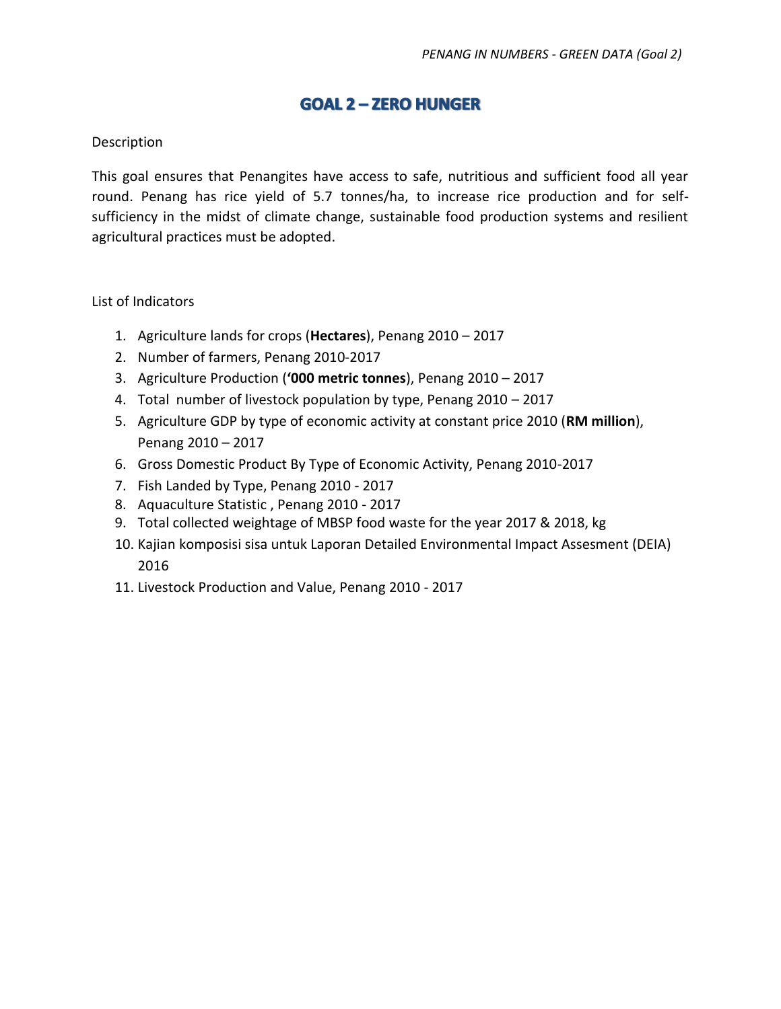# **GOAL 2-ZERO HUNGER**

#### Description

This goal ensures that Penangites have access to safe, nutritious and sufficient food all year round. Penang has rice yield of 5.7 tonnes/ha, to increase rice production and for selfsufficiency in the midst of climate change, sustainable food production systems and resilient agricultural practices must be adopted.

#### List of Indicators

- 1. Agriculture lands for crops (**Hectares**), Penang 2010 2017
- 2. Number of farmers, Penang 2010-2017
- 3. Agriculture Production (**'000 metric tonnes**), Penang 2010 2017
- 4. Total number of livestock population by type, Penang 2010 2017
- 5. Agriculture GDP by type of economic activity at constant price 2010 (**RM million**), Penang 2010 – 2017
- 6. Gross Domestic Product By Type of Economic Activity, Penang 2010-2017
- 7. Fish Landed by Type, Penang 2010 2017
- 8. Aquaculture Statistic , Penang 2010 2017
- 9. Total collected weightage of MBSP food waste for the year 2017 & 2018, kg
- 10. Kajian komposisi sisa untuk Laporan Detailed Environmental Impact Assesment (DEIA) 2016
- 11. Livestock Production and Value, Penang 2010 2017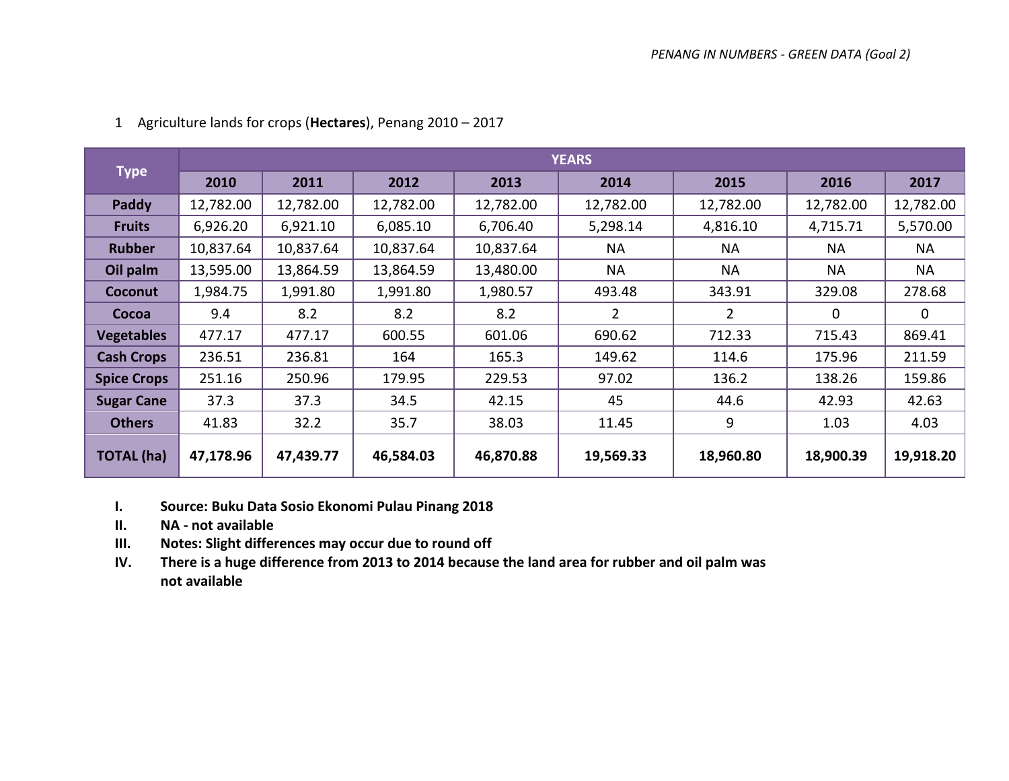|                    |           |           |           |           | <b>YEARS</b> |                |           |           |
|--------------------|-----------|-----------|-----------|-----------|--------------|----------------|-----------|-----------|
| <b>Type</b>        | 2010      | 2011      | 2012      | 2013      | 2014         | 2015           | 2016      | 2017      |
| Paddy              | 12,782.00 | 12,782.00 | 12,782.00 | 12,782.00 | 12,782.00    | 12,782.00      | 12,782.00 | 12,782.00 |
| <b>Fruits</b>      | 6,926.20  | 6,921.10  | 6,085.10  | 6,706.40  | 5,298.14     | 4,816.10       | 4,715.71  | 5,570.00  |
| <b>Rubber</b>      | 10,837.64 | 10,837.64 | 10,837.64 | 10,837.64 | <b>NA</b>    | <b>NA</b>      | <b>NA</b> | <b>NA</b> |
| Oil palm           | 13,595.00 | 13,864.59 | 13,864.59 | 13,480.00 | <b>NA</b>    | <b>NA</b>      | <b>NA</b> | <b>NA</b> |
| Coconut            | 1,984.75  | 1,991.80  | 1,991.80  | 1,980.57  | 493.48       | 343.91         | 329.08    | 278.68    |
| Cocoa              | 9.4       | 8.2       | 8.2       | 8.2       | 2            | $\overline{2}$ | 0         | 0         |
| <b>Vegetables</b>  | 477.17    | 477.17    | 600.55    | 601.06    | 690.62       | 712.33         | 715.43    | 869.41    |
| <b>Cash Crops</b>  | 236.51    | 236.81    | 164       | 165.3     | 149.62       | 114.6          | 175.96    | 211.59    |
| <b>Spice Crops</b> | 251.16    | 250.96    | 179.95    | 229.53    | 97.02        | 136.2          | 138.26    | 159.86    |
| <b>Sugar Cane</b>  | 37.3      | 37.3      | 34.5      | 42.15     | 45           | 44.6           | 42.93     | 42.63     |
| <b>Others</b>      | 41.83     | 32.2      | 35.7      | 38.03     | 11.45        | 9              | 1.03      | 4.03      |
| <b>TOTAL (ha)</b>  | 47,178.96 | 47,439.77 | 46,584.03 | 46,870.88 | 19,569.33    | 18,960.80      | 18,900.39 | 19,918.20 |

### 1 Agriculture lands for crops (**Hectares**), Penang 2010 – 2017

**I. Source: Buku Data Sosio Ekonomi Pulau Pinang 2018**

**II. NA - not available** 

**III. Notes: Slight differences may occur due to round off** 

**IV. There is a huge difference from 2013 to 2014 because the land area for rubber and oil palm was not available**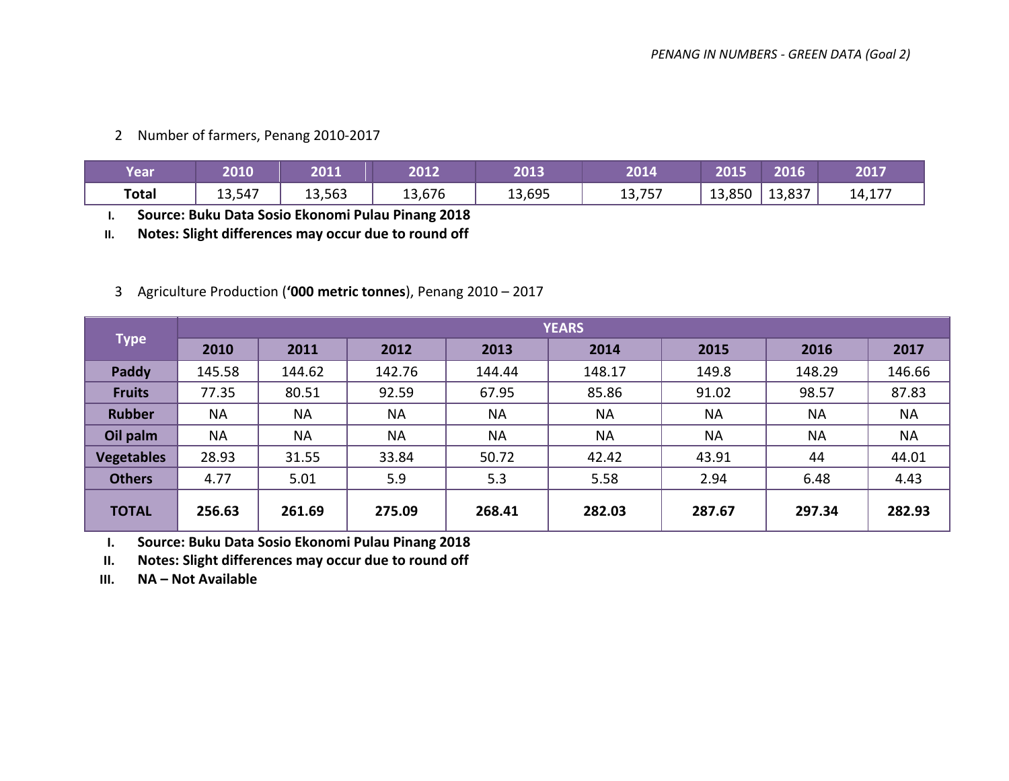2 Number of farmers, Penang 2010-2017

| Year         | 2010   | 2011   | 2012   | 2013   | 2014   | 2015             | 2016   | 2017   |
|--------------|--------|--------|--------|--------|--------|------------------|--------|--------|
| <b>Total</b> | 13,547 | 13,563 | 13,676 | 13,695 | 13,757 | 13,850<br>$\sim$ | 13,837 | 14,177 |

**I. Source: Buku Data Sosio Ekonomi Pulau Pinang 2018** 

**II. Notes: Slight differences may occur due to round off**

## 3 Agriculture Production (**'000 metric tonnes**), Penang 2010 – 2017

|                   |           |           |           |           | <b>YEARS</b> |           |           |           |
|-------------------|-----------|-----------|-----------|-----------|--------------|-----------|-----------|-----------|
| <b>Type</b>       | 2010      | 2011      | 2012      | 2013      | 2014         | 2015      | 2016      | 2017      |
| Paddy             | 145.58    | 144.62    | 142.76    | 144.44    | 148.17       | 149.8     | 148.29    | 146.66    |
| <b>Fruits</b>     | 77.35     | 80.51     | 92.59     | 67.95     | 85.86        | 91.02     | 98.57     | 87.83     |
| <b>Rubber</b>     | <b>NA</b> | <b>NA</b> | <b>NA</b> | <b>NA</b> | <b>NA</b>    | <b>NA</b> | <b>NA</b> | <b>NA</b> |
| Oil palm          | <b>NA</b> | <b>NA</b> | <b>NA</b> | <b>NA</b> | <b>NA</b>    | <b>NA</b> | <b>NA</b> | <b>NA</b> |
| <b>Vegetables</b> | 28.93     | 31.55     | 33.84     | 50.72     | 42.42        | 43.91     | 44        | 44.01     |
| <b>Others</b>     | 4.77      | 5.01      | 5.9       | 5.3       | 5.58         | 2.94      | 6.48      | 4.43      |
| <b>TOTAL</b>      | 256.63    | 261.69    | 275.09    | 268.41    | 282.03       | 287.67    | 297.34    | 282.93    |

**I. Source: Buku Data Sosio Ekonomi Pulau Pinang 2018** 

**II. Notes: Slight differences may occur due to round off**

**III. NA – Not Available**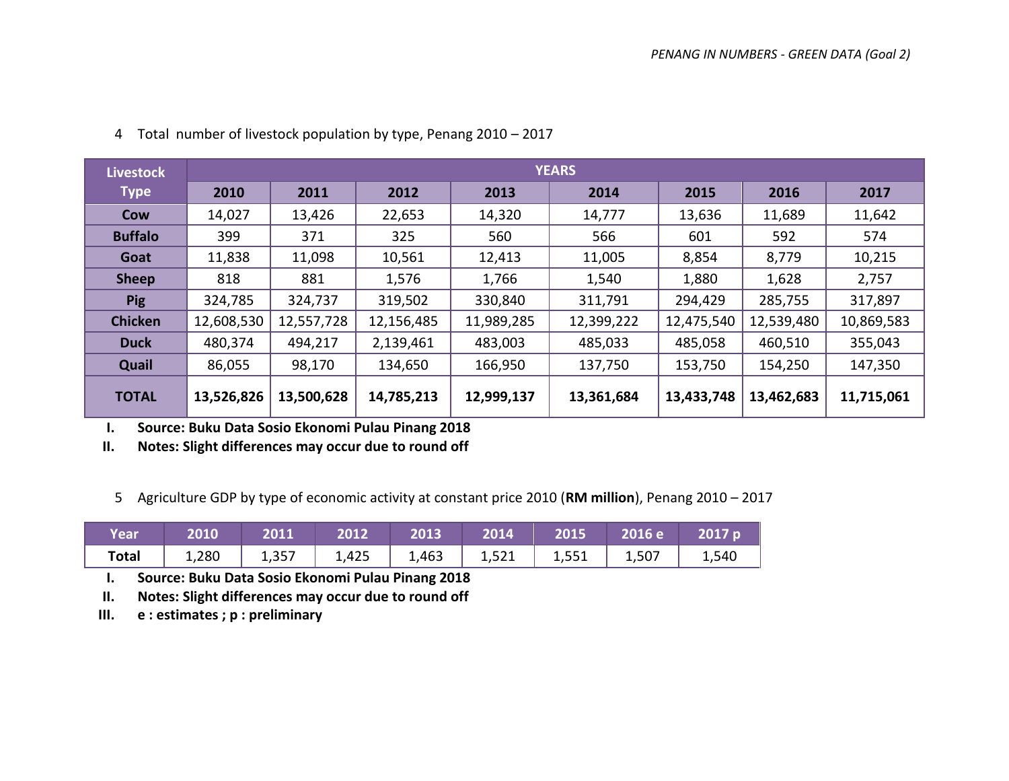| <b>Livestock</b> |            |            |            |            | <b>YEARS</b> |            |            |            |
|------------------|------------|------------|------------|------------|--------------|------------|------------|------------|
| <b>Type</b>      | 2010       | 2011       | 2012       | 2013       | 2014         | 2015       | 2016       | 2017       |
| Cow              | 14,027     | 13,426     | 22,653     | 14,320     | 14,777       | 13,636     | 11,689     | 11,642     |
| <b>Buffalo</b>   | 399        | 371        | 325        | 560        | 566          | 601        | 592        | 574        |
| Goat             | 11,838     | 11,098     | 10,561     | 12,413     | 11,005       | 8,854      | 8,779      | 10,215     |
| <b>Sheep</b>     | 818        | 881        | 1,576      | 1,766      | 1,540        | 1,880      | 1,628      | 2,757      |
| <b>Pig</b>       | 324,785    | 324,737    | 319,502    | 330,840    | 311,791      | 294,429    | 285,755    | 317,897    |
| <b>Chicken</b>   | 12,608,530 | 12,557,728 | 12,156,485 | 11,989,285 | 12,399,222   | 12,475,540 | 12,539,480 | 10,869,583 |
| <b>Duck</b>      | 480,374    | 494,217    | 2,139,461  | 483,003    | 485,033      | 485,058    | 460,510    | 355,043    |
| Quail            | 86,055     | 98,170     | 134,650    | 166,950    | 137,750      | 153,750    | 154,250    | 147,350    |
| <b>TOTAL</b>     | 13,526,826 | 13,500,628 | 14,785,213 | 12,999,137 | 13,361,684   | 13,433,748 | 13,462,683 | 11,715,061 |

4 Total number of livestock population by type, Penang 2010 – 2017

**I. Source: Buku Data Sosio Ekonomi Pulau Pinang 2018** 

**II. Notes: Slight differences may occur due to round off**

5 Agriculture GDP by type of economic activity at constant price 2010 (**RM million**), Penang 2010 – 2017

| <b>Year</b> |                                                                              |  |  |  |  |
|-------------|------------------------------------------------------------------------------|--|--|--|--|
|             | <b>Total</b>   1,280   1,357   1,425   1,463   1,521   1,551   1,507   1,540 |  |  |  |  |

**I. Source: Buku Data Sosio Ekonomi Pulau Pinang 2018** 

**II. Notes: Slight differences may occur due to round off** 

**III. e : estimates ; p : preliminary**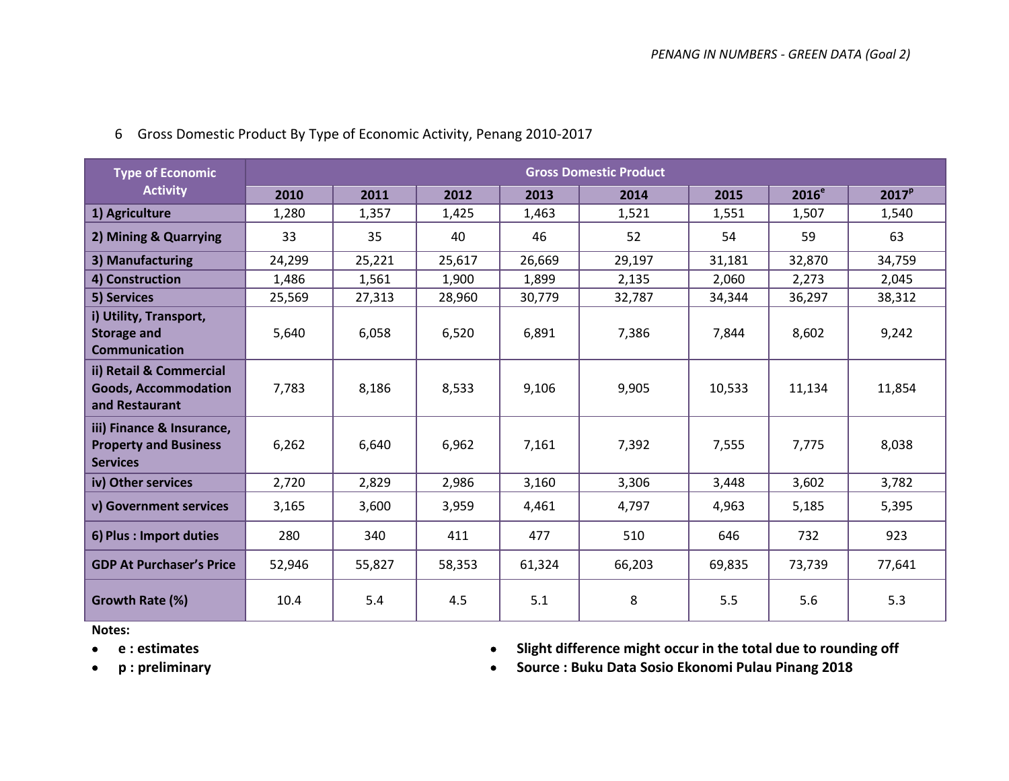| <b>Type of Economic</b>                                                      |        |        |        |        | <b>Gross Domestic Product</b> |        |          |                   |
|------------------------------------------------------------------------------|--------|--------|--------|--------|-------------------------------|--------|----------|-------------------|
| <b>Activity</b>                                                              | 2010   | 2011   | 2012   | 2013   | 2014                          | 2015   | $2016^e$ | 2017 <sup>p</sup> |
| 1) Agriculture                                                               | 1,280  | 1,357  | 1,425  | 1,463  | 1,521                         | 1,551  | 1,507    | 1,540             |
| 2) Mining & Quarrying                                                        | 33     | 35     | 40     | 46     | 52                            | 54     | 59       | 63                |
| 3) Manufacturing                                                             | 24,299 | 25,221 | 25,617 | 26,669 | 29,197                        | 31,181 | 32,870   | 34,759            |
| 4) Construction                                                              | 1,486  | 1,561  | 1,900  | 1,899  | 2,135                         | 2,060  | 2,273    | 2,045             |
| 5) Services                                                                  | 25,569 | 27,313 | 28,960 | 30,779 | 32,787                        | 34,344 | 36,297   | 38,312            |
| i) Utility, Transport,<br><b>Storage and</b><br><b>Communication</b>         | 5,640  | 6,058  | 6,520  | 6,891  | 7,386                         | 7,844  | 8,602    | 9,242             |
| ii) Retail & Commercial<br><b>Goods, Accommodation</b><br>and Restaurant     | 7,783  | 8,186  | 8,533  | 9,106  | 9,905                         | 10,533 | 11,134   | 11,854            |
| iii) Finance & Insurance,<br><b>Property and Business</b><br><b>Services</b> | 6,262  | 6,640  | 6,962  | 7,161  | 7,392                         | 7,555  | 7,775    | 8,038             |
| iv) Other services                                                           | 2,720  | 2,829  | 2,986  | 3,160  | 3,306                         | 3,448  | 3,602    | 3,782             |
| v) Government services                                                       | 3,165  | 3,600  | 3,959  | 4,461  | 4,797                         | 4,963  | 5,185    | 5,395             |
| 6) Plus : Import duties                                                      | 280    | 340    | 411    | 477    | 510                           | 646    | 732      | 923               |
| <b>GDP At Purchaser's Price</b>                                              | 52,946 | 55,827 | 58,353 | 61,324 | 66,203                        | 69,835 | 73,739   | 77,641            |
| Growth Rate (%)                                                              | 10.4   | 5.4    | 4.5    | 5.1    | 8                             | 5.5    | 5.6      | 5.3               |

6 Gross Domestic Product By Type of Economic Activity, Penang 2010-2017

**Notes:** 

- 
- **e : estimates Slight difference might occur in the total due to rounding off**
- 
- **p : preliminary Source : Buku Data Sosio Ekonomi Pulau Pinang 2018**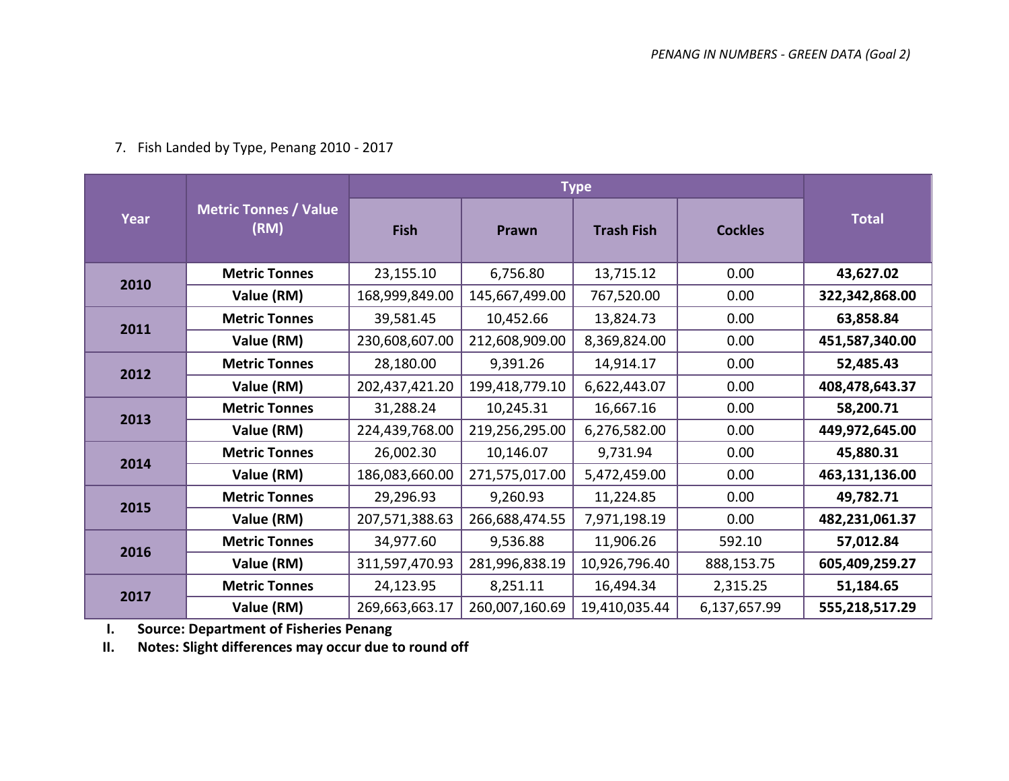|  |  |  |  | 7. Fish Landed by Type, Penang 2010 - 2017 |
|--|--|--|--|--------------------------------------------|
|--|--|--|--|--------------------------------------------|

|      |                                      |                |                | <b>Type</b>       |                |                |
|------|--------------------------------------|----------------|----------------|-------------------|----------------|----------------|
| Year | <b>Metric Tonnes / Value</b><br>(RM) | <b>Fish</b>    | Prawn          | <b>Trash Fish</b> | <b>Cockles</b> | <b>Total</b>   |
| 2010 | <b>Metric Tonnes</b>                 | 23,155.10      | 6,756.80       | 13,715.12         | 0.00           | 43,627.02      |
|      | Value (RM)                           | 168,999,849.00 | 145,667,499.00 | 767,520.00        | 0.00           | 322,342,868.00 |
| 2011 | <b>Metric Tonnes</b>                 | 39,581.45      | 10,452.66      | 13,824.73         | 0.00           | 63,858.84      |
|      | Value (RM)                           | 230,608,607.00 | 212,608,909.00 | 8,369,824.00      | 0.00           | 451,587,340.00 |
| 2012 | <b>Metric Tonnes</b>                 | 28,180.00      | 9,391.26       | 14,914.17         | 0.00           | 52,485.43      |
|      | Value (RM)                           | 202,437,421.20 | 199,418,779.10 | 6,622,443.07      | 0.00           | 408,478,643.37 |
| 2013 | <b>Metric Tonnes</b>                 | 31,288.24      | 10,245.31      | 16,667.16         | 0.00           | 58,200.71      |
|      | Value (RM)                           | 224,439,768.00 | 219,256,295.00 | 6,276,582.00      | 0.00           | 449,972,645.00 |
| 2014 | <b>Metric Tonnes</b>                 | 26,002.30      | 10,146.07      | 9,731.94          | 0.00           | 45,880.31      |
|      | Value (RM)                           | 186,083,660.00 | 271,575,017.00 | 5,472,459.00      | 0.00           | 463,131,136.00 |
| 2015 | <b>Metric Tonnes</b>                 | 29,296.93      | 9,260.93       | 11,224.85         | 0.00           | 49,782.71      |
|      | Value (RM)                           | 207,571,388.63 | 266,688,474.55 | 7,971,198.19      | 0.00           | 482,231,061.37 |
| 2016 | <b>Metric Tonnes</b>                 | 34,977.60      | 9,536.88       | 11,906.26         | 592.10         | 57,012.84      |
|      | Value (RM)                           | 311,597,470.93 | 281,996,838.19 | 10,926,796.40     | 888,153.75     | 605,409,259.27 |
| 2017 | <b>Metric Tonnes</b>                 | 24,123.95      | 8,251.11       | 16,494.34         | 2,315.25       | 51,184.65      |
|      | Value (RM)                           | 269,663,663.17 | 260,007,160.69 | 19,410,035.44     | 6,137,657.99   | 555,218,517.29 |

**I. Source: Department of Fisheries Penang** 

**II. Notes: Slight differences may occur due to round off**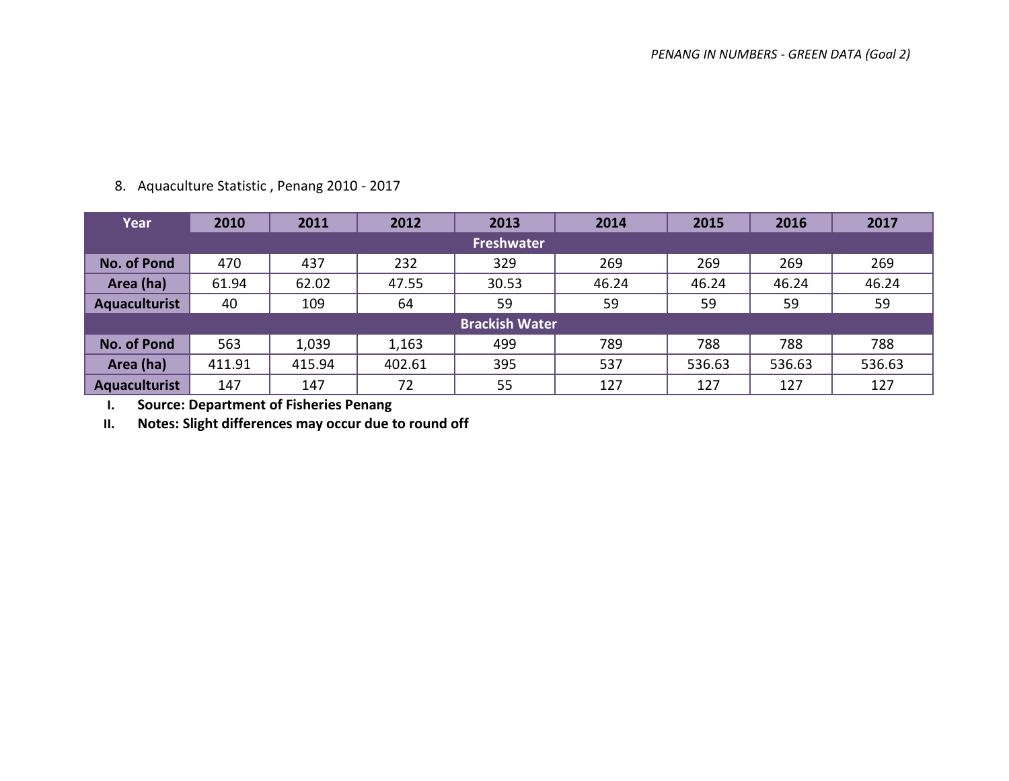| Year                 | 2010   | 2011   | 2012   | 2013                  | 2014  | 2015   | 2016   | 2017   |  |  |
|----------------------|--------|--------|--------|-----------------------|-------|--------|--------|--------|--|--|
| <b>Freshwater</b>    |        |        |        |                       |       |        |        |        |  |  |
| <b>No. of Pond</b>   | 470    | 437    | 232    | 329                   | 269   | 269    | 269    | 269    |  |  |
| Area (ha)            | 61.94  | 62.02  | 47.55  | 30.53                 | 46.24 | 46.24  | 46.24  | 46.24  |  |  |
| <b>Aquaculturist</b> | 40     | 109    | 64     | 59                    | 59    | 59     | 59     | 59     |  |  |
|                      |        |        |        | <b>Brackish Water</b> |       |        |        |        |  |  |
| <b>No. of Pond</b>   | 563    | 1,039  | 1,163  | 499                   | 789   | 788    | 788    | 788    |  |  |
| Area (ha)            | 411.91 | 415.94 | 402.61 | 395                   | 537   | 536.63 | 536.63 | 536.63 |  |  |
| <b>Aquaculturist</b> | 147    | 147    | 72     | 55                    | 127   | 127    | 127    | 127    |  |  |

### 8. Aquaculture Statistic , Penang 2010 - 2017

**I. Source: Department of Fisheries Penang** 

**II. Notes: Slight differences may occur due to round off**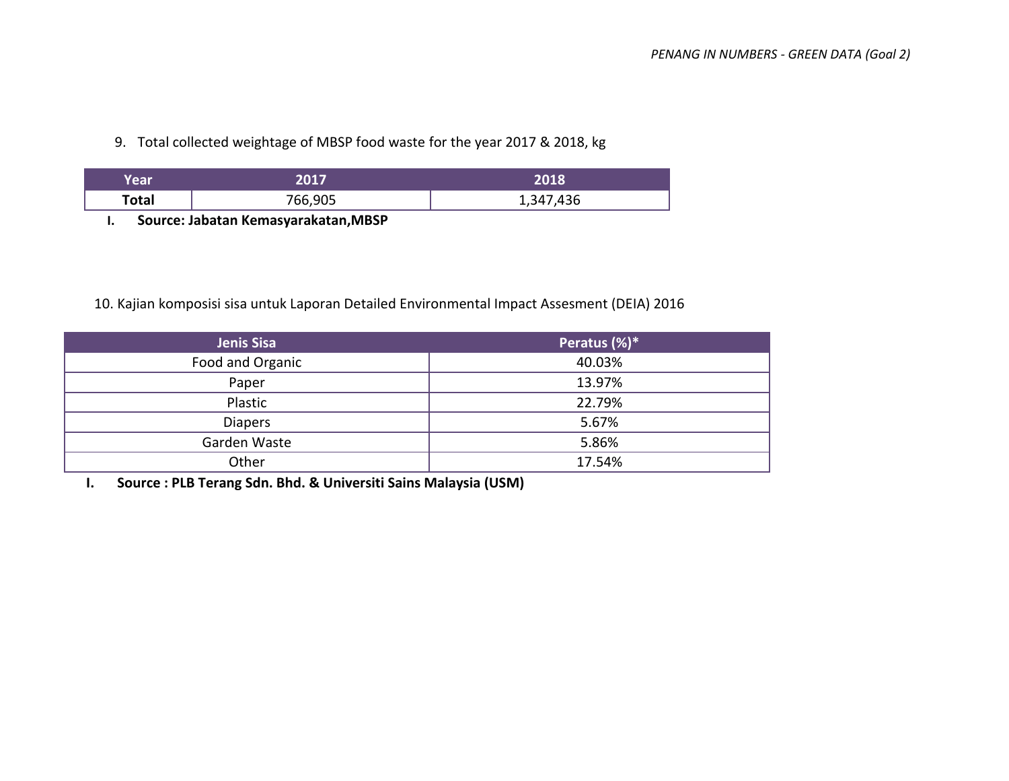9. Total collected weightage of MBSP food waste for the year 2017 & 2018, kg

| Year  | דוממ    | 2018      |
|-------|---------|-----------|
| Total | 766,905 | 1,347,436 |

**I. Source: Jabatan Kemasyarakatan,MBSP**

### 10. Kajian komposisi sisa untuk Laporan Detailed Environmental Impact Assesment (DEIA) 2016

| Jenis Sisa       | Peratus (%)* |
|------------------|--------------|
| Food and Organic | 40.03%       |
| Paper            | 13.97%       |
| Plastic          | 22.79%       |
| <b>Diapers</b>   | 5.67%        |
| Garden Waste     | 5.86%        |
| Other            | 17.54%       |

**I. Source : PLB Terang Sdn. Bhd. & Universiti Sains Malaysia (USM)**